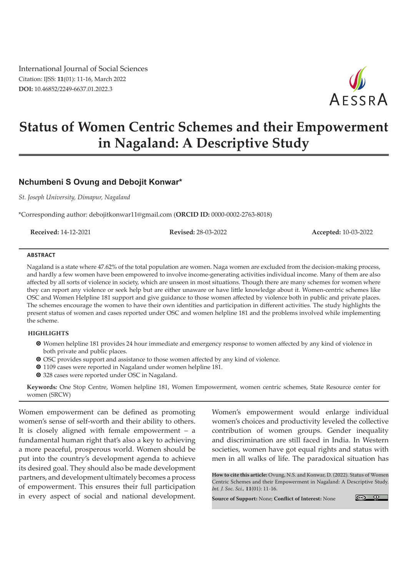International Journal of Social Sciences Citation: IJSS: **11**(01): 11-16, March 2022 **DOI:** 10.46852/2249-6637.01.2022.3



# **Status of Women Centric Schemes and their Empowerment in Nagaland: A Descriptive Study**

## **Nchumbeni S Ovung and Debojit Konwar\***

*St. Joseph University, Dimapur, Nagaland*

\*Corresponding author: debojitkonwar11@gmail.com (**ORCID ID:** 0000-0002-2763-8018)

**Received:** 14-12-2021 **Revised:** 28-03-2022 **Accepted:** 10-03-2022

#### **ABSTRACT**

Nagaland is a state where 47.62% of the total population are women. Naga women are excluded from the decision-making process, and hardly a few women have been empowered to involve income-generating activities individual income. Many of them are also affected by all sorts of violence in society, which are unseen in most situations. Though there are many schemes for women where they can report any violence or seek help but are either unaware or have little knowledge about it. Women-centric schemes like OSC and Women Helpline 181 support and give guidance to those women affected by violence both in public and private places. The schemes encourage the women to have their own identities and participation in different activities. The study highlights the present status of women and cases reported under OSC and women helpline 181 and the problems involved while implementing the scheme.

#### **HIGHLIGHTS**

- m Women helpline 181 provides 24 hour immediate and emergency response to women affected by any kind of violence in both private and public places.
- O OSC provides support and assistance to those women affected by any kind of violence.
- <sup>O</sup> 1109 cases were reported in Nagaland under women helpline 181.
- <sup>O</sup> 328 cases were reported under OSC in Nagaland.

**Keywords***:* One Stop Centre, Women helpline 181, Women Empowerment, women centric schemes, State Resource center for women (SRCW)

Women empowerment can be defined as promoting women's sense of self-worth and their ability to others. It is closely aligned with female empowerment – a fundamental human right that's also a key to achieving a more peaceful, prosperous world. Women should be put into the country's development agenda to achieve its desired goal. They should also be made development partners, and development ultimately becomes a process of empowerment. This ensures their full participation in every aspect of social and national development.

Women's empowerment would enlarge individual women's choices and productivity leveled the collective contribution of women groups. Gender inequality and discrimination are still faced in India. In Western societies, women have got equal rights and status with men in all walks of life. The paradoxical situation has

**How to cite this article:** Ovung, N.S. and Konwar, D. (2022). Status of Women Centric Schemes and their Empowerment in Nagaland: A Descriptive Study. *Int. J. Soc. Sci.,* **11**(01): 11-16.

**Source of Support:** None; **Conflict of Interest:** None

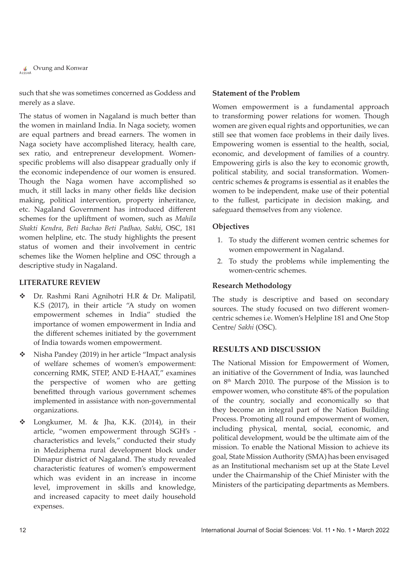**Covung and Konwar** 

such that she was sometimes concerned as Goddess and merely as a slave.

The status of women in Nagaland is much better than the women in mainland India. In Naga society, women are equal partners and bread earners. The women in Naga society have accomplished literacy, health care, sex ratio, and entrepreneur development. Womenspecific problems will also disappear gradually only if the economic independence of our women is ensured. Though the Naga women have accomplished so much, it still lacks in many other fields like decision making, political intervention, property inheritance, etc. Nagaland Government has introduced different schemes for the upliftment of women, such as *Mahila Shakti Kendra*, *Beti Bachao Beti Padhao, Sakhi*, OSC, 181 women helpline, etc. The study highlights the present status of women and their involvement in centric schemes like the Women helpline and OSC through a descriptive study in Nagaland.

#### **LITERATURE REVIEW**

- Dr. Rashmi Rani Agnihotri H.R & Dr. Malipatil, K.S (2017), in their article "A study on women empowerment schemes in India" studied the importance of women empowerment in India and the different schemes initiated by the government of India towards women empowerment.
- Nisha Pandey (2019) in her article "Impact analysis of welfare schemes of women's empowerment: concerning RMK, STEP, AND E-HAAT," examines the perspective of women who are getting benefitted through various government schemes implemented in assistance with non-governmental organizations.
- Longkumer, M. & Jha, K.K. (2014), in their article, "women empowerment through SGH's characteristics and levels," conducted their study in Medziphema rural development block under Dimapur district of Nagaland. The study revealed characteristic features of women's empowerment which was evident in an increase in income level, improvement in skills and knowledge, and increased capacity to meet daily household expenses.

#### **Statement of the Problem**

Women empowerment is a fundamental approach to transforming power relations for women. Though women are given equal rights and opportunities, we can still see that women face problems in their daily lives. Empowering women is essential to the health, social, economic, and development of families of a country. Empowering girls is also the key to economic growth, political stability, and social transformation. Womencentric schemes & programs is essential as it enables the women to be independent, make use of their potential to the fullest, participate in decision making, and safeguard themselves from any violence.

#### **Objectives**

- 1. To study the different women centric schemes for women empowerment in Nagaland.
- 2. To study the problems while implementing the women-centric schemes.

#### **Research Methodology**

The study is descriptive and based on secondary sources. The study focused on two different womencentric schemes i.e. Women's Helpline 181 and One Stop Centre/ *Sakhi* (OSC).

#### **RESULTS AND DISCUSSION**

The National Mission for Empowerment of Women, an initiative of the Government of India, was launched on 8th March 2010. The purpose of the Mission is to empower women, who constitute 48% of the population of the country, socially and economically so that they become an integral part of the Nation Building Process. Promoting all round empowerment of women, including physical, mental, social, economic, and political development, would be the ultimate aim of the mission. To enable the National Mission to achieve its goal, State Mission Authority (SMA) has been envisaged as an Institutional mechanism set up at the State Level under the Chairmanship of the Chief Minister with the Ministers of the participating departments as Members.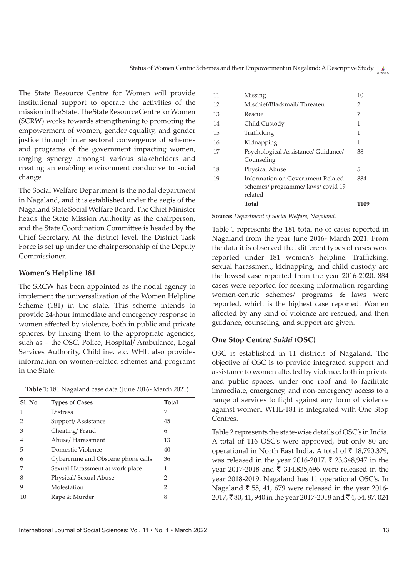The State Resource Centre for Women will provide institutional support to operate the activities of the mission in the State. The State Resource Centre for Women (SCRW) works towards strengthening to promoting the empowerment of women, gender equality, and gender justice through inter sectoral convergence of schemes and programs of the government impacting women, forging synergy amongst various stakeholders and creating an enabling environment conducive to social change.

The Social Welfare Department is the nodal department in Nagaland, and it is established under the aegis of the Nagaland State Social Welfare Board. The Chief Minister heads the State Mission Authority as the chairperson, and the State Coordination Committee is headed by the Chief Secretary. At the district level, the District Task Force is set up under the chairpersonship of the Deputy Commissioner.

#### **Women's Helpline 181**

The SRCW has been appointed as the nodal agency to implement the universalization of the Women Helpline Scheme (181) in the state. This scheme intends to provide 24-hour immediate and emergency response to women affected by violence, both in public and private spheres, by linking them to the appropriate agencies, such as – the OSC, Police, Hospital/ Ambulance, Legal Services Authority, Childline, etc. WHL also provides information on women-related schemes and programs in the State.

| Table 1: 181 Nagaland case data (June 2016- March 2021) |  |  |  |
|---------------------------------------------------------|--|--|--|
|---------------------------------------------------------|--|--|--|

| Sl. No | <b>Types of Cases</b>              | <b>Total</b>  |
|--------|------------------------------------|---------------|
| 1      | <b>Distress</b>                    | 7             |
| 2      | Support/Assistance                 | 45            |
| 3      | Cheating/Fraud                     | 6             |
| 4      | Abuse/Harassment                   | 13            |
| 5      | Domestic Violence                  | 40            |
| 6      | Cybercrime and Obscene phone calls | 36            |
|        | Sexual Harassment at work place    | 1             |
| 8      | Physical/ Sexual Abuse             | $\mathcal{P}$ |
| 9      | Molestation                        | 2             |
| 10     | Rape & Murder                      | 8             |
|        |                                    |               |

|    | Total                                             | 1109          |
|----|---------------------------------------------------|---------------|
|    | related                                           |               |
|    | schemes/ programme/ laws/ covid 19                |               |
| 19 | Information on Government Related                 | 884           |
| 18 | Physical Abuse                                    | 5             |
| 17 | Psychological Assistance/ Guidance/<br>Counseling | 38            |
| 16 | Kidnapping                                        | 1             |
|    | Trafficking                                       |               |
| 15 |                                                   | 1             |
| 14 | Child Custody                                     | 1             |
| 13 | Rescue                                            | 7             |
| 12 | Mischief/Blackmail/Threaten                       | $\mathcal{P}$ |
| 11 | Missing                                           | 10            |
|    |                                                   |               |

**Source:** *Department of Social Welfare, Nagaland.*

Table 1 represents the 181 total no of cases reported in Nagaland from the year June 2016- March 2021. From the data it is observed that different types of cases were reported under 181 women's helpline. Trafficking, sexual harassment, kidnapping, and child custody are the lowest case reported from the year 2016-2020. 884 cases were reported for seeking information regarding women-centric schemes/ programs & laws were reported, which is the highest case reported. Women affected by any kind of violence are rescued, and then guidance, counseling, and support are given.

### **One Stop Centre/** *Sakhi* **(OSC)**

OSC is established in 11 districts of Nagaland. The objective of OSC is to provide integrated support and assistance to women affected by violence, both in private and public spaces, under one roof and to facilitate immediate, emergency, and non-emergency access to a range of services to fight against any form of violence against women. WHL-181 is integrated with One Stop Centres.

Table 2 represents the state-wise details of OSC's in India. A total of 116 OSC's were approved, but only 80 are operational in North East India. A total of  $\bar{z}$  18,790,379, was released in the year 2016-2017,  $\bar{\tau}$  23,348,947 in the year 2017-2018 and  $\bar{\tau}$  314,835,696 were released in the year 2018-2019. Nagaland has 11 operational OSC's. In Nagaland  $\bar{z}$  55, 41, 679 were released in the year 2016-2017, ₹80, 41, 940 in the year 2017-2018 and ₹4, 54, 87, 024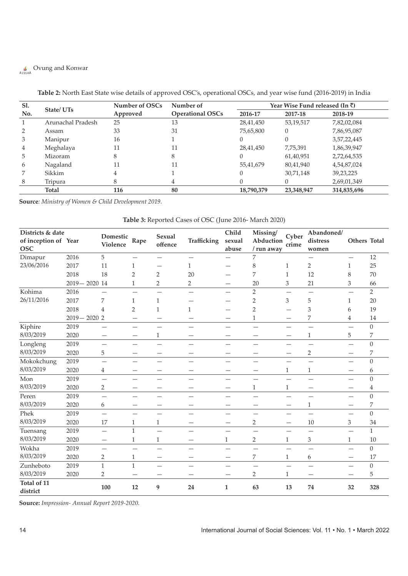# **COVUNG and Konwar**

| Sl. | State/UTs         | Number of OSCs | Number of               | Year Wise Fund released (In $\bar{\tau}$ ) |            |             |  |
|-----|-------------------|----------------|-------------------------|--------------------------------------------|------------|-------------|--|
| No. |                   | Approved       | <b>Operational OSCs</b> | 2016-17                                    | 2017-18    | 2018-19     |  |
| 1   | Arunachal Pradesh | 25             | 13                      | 28,41,450                                  | 53,19,517  | 7,82,02,084 |  |
| 2   | Assam             | 33             | 31                      | 75,65,800                                  | $\theta$   | 7,86,95,087 |  |
| 3   | Manipur           | 16             |                         |                                            | $\Omega$   | 3,57,22,445 |  |
| 4   | Meghalaya         | 11             | 11                      | 28,41,450                                  | 7,75,391   | 1,86,39,947 |  |
| 5   | Mizoram           | 8              |                         |                                            | 61,40,951  | 2,72,64,535 |  |
| 6   | Nagaland          | 11             | 11                      | 55,41,679                                  | 80,41,940  | 4,54,87,024 |  |
| 7   | Sikkim            | 4              |                         |                                            | 30,71,148  | 39,23,225   |  |
| 8   | Tripura           | 8              |                         |                                            | $\Omega$   | 2,69,01,349 |  |
|     | <b>Total</b>      | 116            | 80                      | 18,790,379                                 | 23,348,947 | 314,835,696 |  |

#### **Table 2:** North East State wise details of approved OSC's, operational OSCs, and year wise fund (2016-2019) in India

**Source***: Ministry of Women & Child Development 2019.*

| Table 3: Reported Cases of OSC (June 2016- March 2020) |  |  |
|--------------------------------------------------------|--|--|
|--------------------------------------------------------|--|--|

| Districts & date<br>of inception of Year<br><b>OSC</b> |                 | Domestic<br><b>Violence</b>   | Rape                     | <b>Sexual</b><br>offence | <b>Trafficking</b> | Child<br>sexual<br>abuse | Missing/<br>Abduction<br>/ run away | Cyber<br>crime            | Abandoned/<br>distress<br>women | Others Total             |                  |
|--------------------------------------------------------|-----------------|-------------------------------|--------------------------|--------------------------|--------------------|--------------------------|-------------------------------------|---------------------------|---------------------------------|--------------------------|------------------|
| Dimapur                                                | 2016            | 5                             | -                        | $\overline{\phantom{0}}$ |                    |                          | 7                                   |                           | —                               |                          | 12               |
| 23/06/2016                                             | 2017            | 11                            | $\mathbf{1}$             |                          | $\mathbf{1}$       |                          | 8                                   | $\mathbf{1}$              | $\overline{2}$                  | $\mathbf{1}$             | 25               |
|                                                        | 2018            | 18                            | $\overline{2}$           | $\overline{2}$           | 20                 |                          | 7                                   | $\mathbf{1}$              | 12                              | 8                        | 70               |
|                                                        | $2019 - 2020$   | 14                            | $\mathbf{1}$             | 2                        | $\overline{2}$     | —                        | 20                                  | $\ensuremath{\mathsf{3}}$ | 21                              | 3                        | 66               |
| Kohima                                                 | 2016            |                               | -                        |                          |                    | -                        | $\overline{2}$                      |                           |                                 |                          | $\overline{2}$   |
| 26/11/2016                                             | 2017            | 7                             | $\mathbf{1}$             | 1                        |                    |                          | $\overline{2}$                      | 3                         | 5                               | 1                        | 20               |
|                                                        | 2018            | 4                             | $\overline{2}$           | $\mathbf{1}$             | 1                  |                          | $\overline{2}$                      |                           | 3                               | 6                        | 19               |
|                                                        | $2019 - 2020$ 2 |                               | -                        |                          |                    |                          | 1                                   |                           | 7                               | 4                        | 14               |
| Kiphire                                                | 2019            |                               | —                        | -                        |                    |                          |                                     |                           |                                 |                          | $\mathbf{0}$     |
| 8/03/2019                                              | 2020            | $\overbrace{\phantom{12333}}$ |                          | 1                        |                    | $\qquad \qquad$          | —                                   | $\overline{\phantom{0}}$  | $\mathbf{1}$                    | 5                        | 7                |
| Longleng                                               | 2019            | $\equiv$                      | $\overline{\phantom{0}}$ | $\overline{\phantom{0}}$ |                    | $\overline{\phantom{0}}$ | $\overline{\phantom{a}}$            | $\overline{\phantom{0}}$  | $\overline{\phantom{0}}$        |                          | $\overline{0}$   |
| 8/03/2019                                              | 2020            | 5                             | $\overline{\phantom{0}}$ |                          |                    |                          |                                     |                           | $\overline{2}$                  |                          | 7                |
| Mokokchung                                             | 2019            | —                             | —                        | -                        |                    |                          |                                     | -                         |                                 |                          | $\boldsymbol{0}$ |
| 8/03/2019                                              | 2020            | $\overline{4}$                | -                        | -                        |                    | $\overline{\phantom{0}}$ | —                                   | $\mathbf{1}$              | $\mathbf{1}$                    |                          | 6                |
| Mon                                                    | 2019            | $\overline{\phantom{0}}$      | —                        | $\overline{\phantom{0}}$ |                    | $\overline{\phantom{0}}$ | $\overline{\phantom{m}}$            | —                         |                                 | $\overline{\phantom{0}}$ | $\Omega$         |
| 8/03/2019                                              | 2020            | $\overline{2}$                | ÷                        | -                        |                    |                          | $\mathbf{1}$                        | $\mathbf{1}$              | -                               |                          | $\overline{4}$   |
| Peren                                                  | 2019            | $\overline{\phantom{0}}$      | $\overline{\phantom{0}}$ | -                        |                    | —                        | $\overline{\phantom{0}}$            |                           | $\overline{\phantom{0}}$        |                          | $\overline{0}$   |
| 8/03/2019                                              | 2020            | 6                             | —                        | -                        |                    | $\overline{\phantom{0}}$ |                                     | —                         | $\mathbf{1}$                    |                          | 7                |
| Phek                                                   | 2019            | $\overline{\phantom{0}}$      | $\overline{\phantom{0}}$ | $\overline{\phantom{0}}$ |                    | $\overline{\phantom{0}}$ | $\overline{\phantom{0}}$            | —                         | $\overline{\phantom{0}}$        | $\overline{\phantom{0}}$ | $\mathbf{0}$     |
| 8/03/2019                                              | 2020            | 17                            | $\mathbf{1}$             | 1                        |                    |                          | 2                                   | $\overline{\phantom{0}}$  | 10                              | 3                        | 34               |
| Tuensang                                               | 2019            | $\overline{\phantom{0}}$      | $\mathbf{1}$             | $\overline{\phantom{0}}$ |                    | $\qquad \qquad$          | —                                   | -                         | -                               |                          | $\mathbf{1}$     |
| 8/03/2019                                              | 2020            | —                             | $\mathbf{1}$             | 1                        |                    | $\mathbf{1}$             | 2                                   | $\mathbf{1}$              | 3                               | $\mathbf{1}$             | 10               |
| Wokha                                                  | 2019            | $\overline{\phantom{0}}$      |                          | -                        |                    |                          |                                     |                           |                                 |                          | $\mathbf{0}$     |
| 8/03/2019                                              | 2020            | $\sqrt{2}$                    | $\mathbf{1}$             | $\qquad \qquad -$        | -                  | $\overline{\phantom{0}}$ | 7                                   | $\mathbf{1}$              | 6                               | —                        | 17               |
| Zunheboto                                              | 2019            | $\mathbf{1}$                  | $\mathbf{1}$             |                          |                    |                          |                                     |                           |                                 |                          | $\mathbf{0}$     |
| 8/03/2019                                              | 2020            | 2                             |                          |                          |                    |                          | 2                                   | $\mathbf{1}$              |                                 |                          | 5                |
| Total of 11<br>district                                |                 | 100                           | 12                       | 9                        | 24                 | $\mathbf{1}$             | 63                                  | 13                        | 74                              | 32                       | 328              |

**Source:** *Impression- Annual Report 2019-2020.*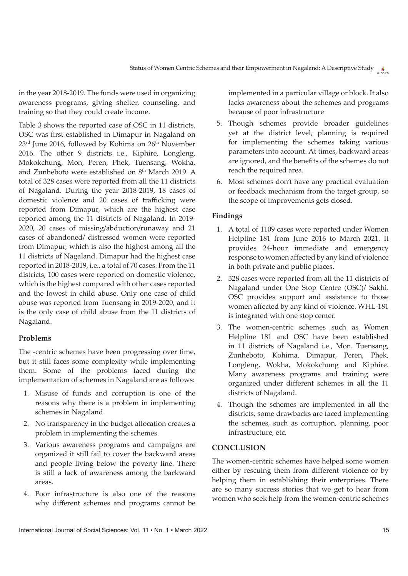in the year 2018-2019. The funds were used in organizing awareness programs, giving shelter, counseling, and training so that they could create income.

Table 3 shows the reported case of OSC in 11 districts. OSC was first established in Dimapur in Nagaland on 23<sup>rd</sup> June 2016, followed by Kohima on 26<sup>th</sup> November 2016. The other 9 districts i.e., Kiphire, Longleng, Mokokchung, Mon, Peren, Phek, Tuensang, Wokha, and Zunheboto were established on 8<sup>th</sup> March 2019. A total of 328 cases were reported from all the 11 districts of Nagaland. During the year 2018-2019, 18 cases of domestic violence and 20 cases of trafficking were reported from Dimapur, which are the highest case reported among the 11 districts of Nagaland. In 2019- 2020, 20 cases of missing/abduction/runaway and 21 cases of abandoned/ distressed women were reported from Dimapur, which is also the highest among all the 11 districts of Nagaland. Dimapur had the highest case reported in 2018-2019, i.e., a total of 70 cases. From the 11 districts, 100 cases were reported on domestic violence, which is the highest compared with other cases reported and the lowest in child abuse. Only one case of child abuse was reported from Tuensang in 2019-2020, and it is the only case of child abuse from the 11 districts of Nagaland.

### **Problems**

The -centric schemes have been progressing over time, but it still faces some complexity while implementing them. Some of the problems faced during the implementation of schemes in Nagaland are as follows:

- 1. Misuse of funds and corruption is one of the reasons why there is a problem in implementing schemes in Nagaland.
- 2. No transparency in the budget allocation creates a problem in implementing the schemes.
- 3. Various awareness programs and campaigns are organized it still fail to cover the backward areas and people living below the poverty line. There is still a lack of awareness among the backward areas.
- 4. Poor infrastructure is also one of the reasons why different schemes and programs cannot be

implemented in a particular village or block. It also lacks awareness about the schemes and programs because of poor infrastructure

- 5. Though schemes provide broader guidelines yet at the district level, planning is required for implementing the schemes taking various parameters into account. At times, backward areas are ignored, and the benefits of the schemes do not reach the required area.
- 6. Most schemes don't have any practical evaluation or feedback mechanism from the target group, so the scope of improvements gets closed.

## **Findings**

- 1. A total of 1109 cases were reported under Women Helpline 181 from June 2016 to March 2021. It provides 24-hour immediate and emergency response to women affected by any kind of violence in both private and public places.
- 2. 328 cases were reported from all the 11 districts of Nagaland under One Stop Centre (OSC)/ Sakhi. OSC provides support and assistance to those women affected by any kind of violence. WHL-181 is integrated with one stop center.
- 3. The women-centric schemes such as Women Helpline 181 and OSC have been established in 11 districts of Nagaland i.e., Mon. Tuensang, Zunheboto, Kohima, Dimapur, Peren, Phek, Longleng, Wokha, Mokokchung and Kiphire. Many awareness programs and training were organized under different schemes in all the 11 districts of Nagaland.
- 4. Though the schemes are implemented in all the districts, some drawbacks are faced implementing the schemes, such as corruption, planning, poor infrastructure, etc.

## **CONCLUSION**

The women-centric schemes have helped some women either by rescuing them from different violence or by helping them in establishing their enterprises. There are so many success stories that we get to hear from women who seek help from the women-centric schemes